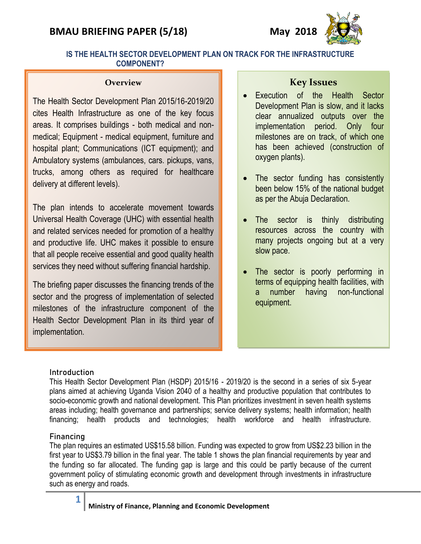# **BMAU BRIEFING PAPER (5/18) May 2018**



# **IS THE HEALTH SECTOR DEVELOPMENT PLAN ON TRACK FOR THE INFRASTRUCTURE COMPONENT?**

#### **Overview**

The Health Sector Development Plan 2015/16-2019/20 cites Health Infrastructure as one of the key focus areas. It comprises buildings - both medical and nonmedical; Equipment - medical equipment, furniture and hospital plant; Communications (ICT equipment); and Ambulatory systems (ambulances, cars. pickups, vans, trucks, among others as required for healthcare delivery at different levels).

The plan intends to accelerate movement towards Universal Health Coverage (UHC) with essential health and related services needed for promotion of a healthy and productive life. UHC makes it possible to ensure that all people receive essential and good quality health services they need without suffering financial hardship.

The briefing paper discusses the financing trends of the sector and the progress of implementation of selected milestones of the infrastructure component of the Health Sector Development Plan in its third year of implementation.

# **Key Issues**

- Execution of the Health Sector Development Plan is slow, and it lacks clear annualized outputs over the implementation period. Only four milestones are on track, of which one has been achieved (construction of oxygen plants).
- The sector funding has consistently been below 15% of the national budget as per the Abuja Declaration.
- The sector is thinly distributing resources across the country with many projects ongoing but at a very slow pace.
- The sector is poorly performing in terms of equipping health facilities, with a number having non-functional equipment.

### **Introduction**

This Health Sector Development Plan (HSDP) 2015/16 - 2019/20 is the second in a series of six 5-year plans aimed at achieving Uganda Vision 2040 of a healthy and productive population that contributes to socio-economic growth and national development. This Plan prioritizes investment in seven health systems areas including; health governance and partnerships; service delivery systems; health information; health financing; health products and technologies; health workforce and health infrastructure.

### Financing

The plan requires an estimated US\$15.58 billion. Funding was expected to grow from US\$2.23 billion in the first year to US\$3.79 billion in the final year. The table 1 shows the plan financial requirements by year and the funding so far allocated. The funding gap is large and this could be partly because of the current government policy of stimulating economic growth and development through investments in infrastructure such as energy and roads.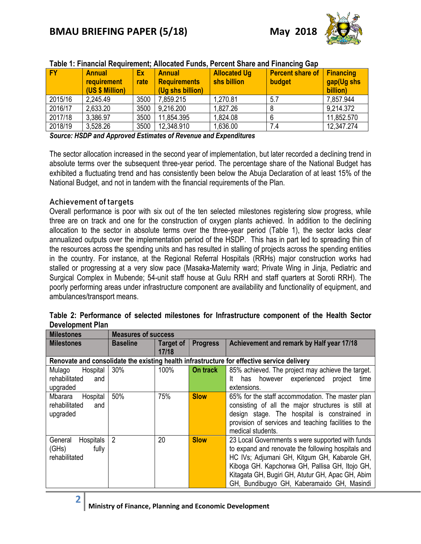| Table T. Financial Regulientent, Allocated Funds, Percent Share and Financing Gap |                                                        |            |                                                          |                                    |                                   |                                             |  |  |
|-----------------------------------------------------------------------------------|--------------------------------------------------------|------------|----------------------------------------------------------|------------------------------------|-----------------------------------|---------------------------------------------|--|--|
| <b>FY</b>                                                                         | <b>Annual</b><br><b>requirement</b><br>(US \$ Million) | Ex<br>rate | <b>Annual</b><br><b>Requirements</b><br>(Uq shs billion) | <b>Allocated Ug</b><br>shs billion | <b>Percent share of</b><br>budget | <b>Financing</b><br>gap(Ug shs)<br>billion) |  |  |
| 2015/16                                                                           | 2,245.49                                               | 3500       | 7,859.215                                                | 1,270.81                           | 5.7                               | 7,857.944                                   |  |  |
| 2016/17                                                                           | 2,633.20                                               | 3500       | 9,216.200                                                | 1,827.26                           |                                   | 9.214.372                                   |  |  |
| 2017/18                                                                           | 3,386.97                                               | 3500       | 11,854.395                                               | 1,824.08                           |                                   | 11,852.570                                  |  |  |
| 2018/19                                                                           | 3,528.26                                               | 3500       | 12,348.910                                               | 1,636.00                           | 7.4                               | 12,347.274                                  |  |  |

# **Table 1: Financial Requirement; Allocated Funds, Percent Share and Financing Gap**

*Source: HSDP and Approved Estimates of Revenue and Expenditures*

The sector allocation increased in the second year of implementation, but later recorded a declining trend in absolute terms over the subsequent three-year period. The percentage share of the National Budget has exhibited a fluctuating trend and has consistently been below the Abuja Declaration of at least 15% of the National Budget, and not in tandem with the financial requirements of the Plan.

### Achievement of targets

**2**

Overall performance is poor with six out of the ten selected milestones registering slow progress, while three are on track and one for the construction of oxygen plants achieved. In addition to the declining allocation to the sector in absolute terms over the three-year period (Table 1), the sector lacks clear annualized outputs over the implementation period of the HSDP. This has in part led to spreading thin of the resources across the spending units and has resulted in stalling of projects across the spending entities in the country. For instance, at the Regional Referral Hospitals (RRHs) major construction works had stalled or progressing at a very slow pace (Masaka-Maternity ward; Private Wing in Jinja, Pediatric and Surgical Complex in Mubende; 54-unit staff house at Gulu RRH and staff quarters at Soroti RRH). The poorly performing areas under infrastructure component are availability and functionality of equipment, and ambulances/transport means.

| <b>Milestones</b>                                                                          | <b>Measures of success</b> |                           |                 |                                                                                                                                                                                                                                                                                                            |  |  |  |
|--------------------------------------------------------------------------------------------|----------------------------|---------------------------|-----------------|------------------------------------------------------------------------------------------------------------------------------------------------------------------------------------------------------------------------------------------------------------------------------------------------------------|--|--|--|
| <b>Milestones</b>                                                                          | <b>Baseline</b>            | <b>Target of</b><br>17/18 | <b>Progress</b> | Achievement and remark by Half year 17/18                                                                                                                                                                                                                                                                  |  |  |  |
| Renovate and consolidate the existing health infrastructure for effective service delivery |                            |                           |                 |                                                                                                                                                                                                                                                                                                            |  |  |  |
| Hospital<br>Mulago<br>rehabilitated<br>and<br>upgraded                                     | 30%                        | 100%                      | On track        | 85% achieved. The project may achieve the target.<br>however experienced project<br>time<br>has<br>lt.<br>extensions.                                                                                                                                                                                      |  |  |  |
| Mbarara<br>Hospital<br>rehabilitated<br>and<br>upgraded                                    | 50%                        | 75%                       | <b>Slow</b>     | 65% for the staff accommodation. The master plan<br>consisting of all the major structures is still at<br>design stage. The hospital is constrained in<br>provision of services and teaching facilities to the<br>medical students.                                                                        |  |  |  |
| Hospitals<br>General<br>(GHs)<br>fully<br>rehabilitated                                    | $\overline{2}$             | 20                        | <b>Slow</b>     | 23 Local Governments s were supported with funds<br>to expand and renovate the following hospitals and<br>HC IVs; Adjumani GH, Kitgum GH, Kabarole GH,<br>Kiboga GH. Kapchorwa GH, Pallisa GH, Itojo GH,<br>Kitagata GH, Bugiri GH, Atutur GH, Apac GH, Abim<br>GH, Bundibugyo GH, Kaberamaido GH, Masindi |  |  |  |

| Table 2: Performance of selected milestones for Infrastructure component of the Health Sector |  |  |  |  |
|-----------------------------------------------------------------------------------------------|--|--|--|--|
| <b>Development Plan</b>                                                                       |  |  |  |  |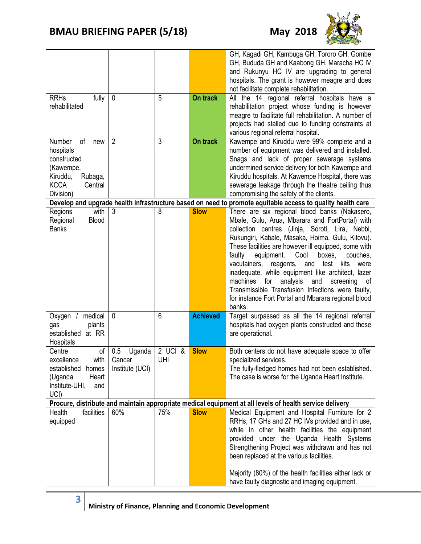

|                                                                                                         |                 |         |                 | GH, Kagadi GH, Kambuga GH, Tororo GH, Gombe<br>GH, Bududa GH and Kaabong GH. Maracha HC IV<br>and Rukunyu HC IV are upgrading to general<br>hospitals. The grant is however meagre and does<br>not facilitate complete rehabilitation. |  |  |  |
|---------------------------------------------------------------------------------------------------------|-----------------|---------|-----------------|----------------------------------------------------------------------------------------------------------------------------------------------------------------------------------------------------------------------------------------|--|--|--|
| <b>RRHs</b><br>fully                                                                                    | 0               | 5       | On track        | All the 14 regional referral hospitals have a                                                                                                                                                                                          |  |  |  |
| rehabilitated                                                                                           |                 |         |                 | rehabilitation project whose funding is however                                                                                                                                                                                        |  |  |  |
|                                                                                                         |                 |         |                 | meagre to facilitate full rehabilitation. A number of                                                                                                                                                                                  |  |  |  |
|                                                                                                         |                 |         |                 | projects had stalled due to funding constraints at                                                                                                                                                                                     |  |  |  |
|                                                                                                         |                 |         |                 | various regional referral hospital.                                                                                                                                                                                                    |  |  |  |
| Number<br>of<br>new                                                                                     | $\overline{2}$  | 3       | On track        | Kawempe and Kiruddu were 99% complete and a                                                                                                                                                                                            |  |  |  |
| hospitals<br>constructed                                                                                |                 |         |                 | number of equipment was delivered and installed.<br>Snags and lack of proper sewerage systems                                                                                                                                          |  |  |  |
| (Kawempe,                                                                                               |                 |         |                 | undermined service delivery for both Kawempe and                                                                                                                                                                                       |  |  |  |
| Kiruddu,<br>Rubaga,                                                                                     |                 |         |                 | Kiruddu hospitals. At Kawempe Hospital, there was                                                                                                                                                                                      |  |  |  |
| <b>KCCA</b><br>Central                                                                                  |                 |         |                 | sewerage leakage through the theatre ceiling thus                                                                                                                                                                                      |  |  |  |
| Division)                                                                                               |                 |         |                 | compromising the safety of the clients.                                                                                                                                                                                                |  |  |  |
|                                                                                                         |                 |         |                 | Develop and upgrade health infrastructure based on need to promote equitable access to quality health care                                                                                                                             |  |  |  |
| with<br>Regions                                                                                         | 3               | 8       | <b>Slow</b>     | There are six regional blood banks (Nakasero,                                                                                                                                                                                          |  |  |  |
| Regional<br><b>Blood</b>                                                                                |                 |         |                 | Mbale, Gulu, Arua, Mbarara and FortPortal) with                                                                                                                                                                                        |  |  |  |
| <b>Banks</b>                                                                                            |                 |         |                 | collection centres (Jinja, Soroti, Lira, Nebbi,                                                                                                                                                                                        |  |  |  |
|                                                                                                         |                 |         |                 | Rukungiri, Kabale, Masaka, Hoima, Gulu, Kitovu).<br>These facilities are however ill equipped, some with                                                                                                                               |  |  |  |
|                                                                                                         |                 |         |                 | faulty<br>equipment.<br>Cool<br>boxes,<br>couches,                                                                                                                                                                                     |  |  |  |
|                                                                                                         |                 |         |                 | vacutainers, reagents, and<br>test<br>kits<br>were                                                                                                                                                                                     |  |  |  |
|                                                                                                         |                 |         |                 | inadequate, while equipment like architect, lazer                                                                                                                                                                                      |  |  |  |
|                                                                                                         |                 |         |                 | machines<br>for<br>analysis<br>and<br>screening<br>οf                                                                                                                                                                                  |  |  |  |
|                                                                                                         |                 |         |                 | Transmissible Transfusion Infections were faulty,                                                                                                                                                                                      |  |  |  |
|                                                                                                         |                 |         |                 | for instance Fort Portal and Mbarara regional blood                                                                                                                                                                                    |  |  |  |
|                                                                                                         |                 |         |                 | banks.                                                                                                                                                                                                                                 |  |  |  |
| medical<br>Oxygen                                                                                       | $\mathbf{0}$    | 6       | <b>Achieved</b> | Target surpassed as all the 14 regional referral                                                                                                                                                                                       |  |  |  |
| gas<br>plants<br>established at RR                                                                      |                 |         |                 | hospitals had oxygen plants constructed and these                                                                                                                                                                                      |  |  |  |
| Hospitals                                                                                               |                 |         |                 | are operational.                                                                                                                                                                                                                       |  |  |  |
| of<br>Centre                                                                                            | 0.5<br>Uganda   | 2 UCI & | <b>Slow</b>     | Both centers do not have adequate space to offer                                                                                                                                                                                       |  |  |  |
| excellence<br>with                                                                                      | Cancer          | UHI     |                 | specialized services.                                                                                                                                                                                                                  |  |  |  |
| established<br>homes                                                                                    | Institute (UCI) |         |                 | The fully-fledged homes had not been established.                                                                                                                                                                                      |  |  |  |
| Heart<br>(Uganda                                                                                        |                 |         |                 | The case is worse for the Uganda Heart Institute.                                                                                                                                                                                      |  |  |  |
| Institute-UHI,<br>and                                                                                   |                 |         |                 |                                                                                                                                                                                                                                        |  |  |  |
| UCI)                                                                                                    |                 |         |                 |                                                                                                                                                                                                                                        |  |  |  |
| Procure, distribute and maintain appropriate medical equipment at all levels of health service delivery |                 |         |                 |                                                                                                                                                                                                                                        |  |  |  |
| facilities<br>Health                                                                                    | 60%             | 75%     | <b>Slow</b>     | Medical Equipment and Hospital Furniture for 2                                                                                                                                                                                         |  |  |  |
| equipped                                                                                                |                 |         |                 | RRHs, 17 GHs and 27 HC IVs provided and in use,<br>while in other health facilities the equipment                                                                                                                                      |  |  |  |
|                                                                                                         |                 |         |                 | provided under the Uganda Health Systems                                                                                                                                                                                               |  |  |  |
|                                                                                                         |                 |         |                 | Strengthening Project was withdrawn and has not                                                                                                                                                                                        |  |  |  |
|                                                                                                         |                 |         |                 | been replaced at the various facilities.                                                                                                                                                                                               |  |  |  |
|                                                                                                         |                 |         |                 |                                                                                                                                                                                                                                        |  |  |  |
|                                                                                                         |                 |         |                 | Majority (80%) of the health facilities either lack or                                                                                                                                                                                 |  |  |  |
|                                                                                                         |                 |         |                 | have faulty diagnostic and imaging equipment.                                                                                                                                                                                          |  |  |  |